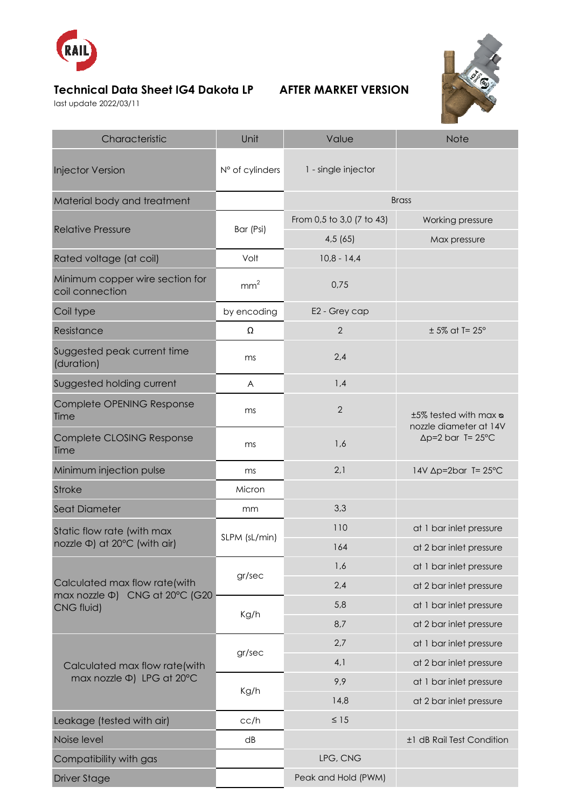

## **Technical Data Sheet IG4 Dakota LP AFTER MARKET VERSION**

last update 2022/03/11



| Characteristic                                                                | Unit            | Value                     | <b>Note</b>                                                                 |
|-------------------------------------------------------------------------------|-----------------|---------------------------|-----------------------------------------------------------------------------|
| <b>Injector Version</b>                                                       | N° of cylinders | 1 - single injector       |                                                                             |
| Material body and treatment                                                   |                 |                           | <b>Brass</b>                                                                |
| <b>Relative Pressure</b>                                                      | Bar (Psi)       | From 0,5 to 3,0 (7 to 43) | Working pressure                                                            |
|                                                                               |                 | 4,5(65)                   | Max pressure                                                                |
| Rated voltage (at coil)                                                       | Volt            | $10,8 - 14,4$             |                                                                             |
| Minimum copper wire section for<br>coil connection                            | mm <sup>2</sup> | 0,75                      |                                                                             |
| Coil type                                                                     | by encoding     | E2 - Grey cap             |                                                                             |
| Resistance                                                                    | Ω               | $\overline{2}$            | $± 5\%$ at T= 25°                                                           |
| Suggested peak current time<br>(duration)                                     | ms              | 2,4                       |                                                                             |
| Suggested holding current                                                     | A               | 1,4                       |                                                                             |
| Complete OPENING Response<br>Time                                             | ms              | $\overline{2}$            | ±5% tested with max a<br>nozzle diameter at 14V<br>$\Delta p=2$ bar T= 25°C |
| Complete CLOSING Response<br>Time                                             | ms              | 1,6                       |                                                                             |
| Minimum injection pulse                                                       | ms              | 2,1                       | 14V ∆p=2bar T= 25°C                                                         |
| <b>Stroke</b>                                                                 | Micron          |                           |                                                                             |
| Seat Diameter                                                                 | mm              | 3,3                       |                                                                             |
| Static flow rate (with max<br>nozzle Φ) at 20°C (with air)                    | SLPM (sL/min)   | 110                       | at 1 bar inlet pressure                                                     |
|                                                                               |                 | 164                       | at 2 bar inlet pressure                                                     |
| Calculated max flow rate(with<br>max nozzle Φ) CNG at 20°C (G20<br>CNG fluid) | gr/sec          | 1,6                       | at 1 bar inlet pressure                                                     |
|                                                                               |                 | 2,4                       | at 2 bar inlet pressure                                                     |
|                                                                               | Kg/h            | 5,8                       | at 1 bar inlet pressure                                                     |
|                                                                               |                 | 8,7                       | at 2 bar inlet pressure                                                     |
|                                                                               | gr/sec          | 2,7                       | at 1 bar inlet pressure                                                     |
| Calculated max flow rate(with                                                 |                 | 4,1                       | at 2 bar inlet pressure                                                     |
| max nozzle Φ) LPG at 20°C                                                     | Kg/h            | 9,9                       | at 1 bar inlet pressure                                                     |
|                                                                               |                 | 14,8                      | at 2 bar inlet pressure                                                     |
| Leakage (tested with air)                                                     | cc/h            | $\leq 15$                 |                                                                             |
| Noise level                                                                   | dB              |                           | ±1 dB Rail Test Condition                                                   |
| Compatibility with gas                                                        |                 | LPG, CNG                  |                                                                             |
| <b>Driver Stage</b>                                                           |                 | Peak and Hold (PWM)       |                                                                             |